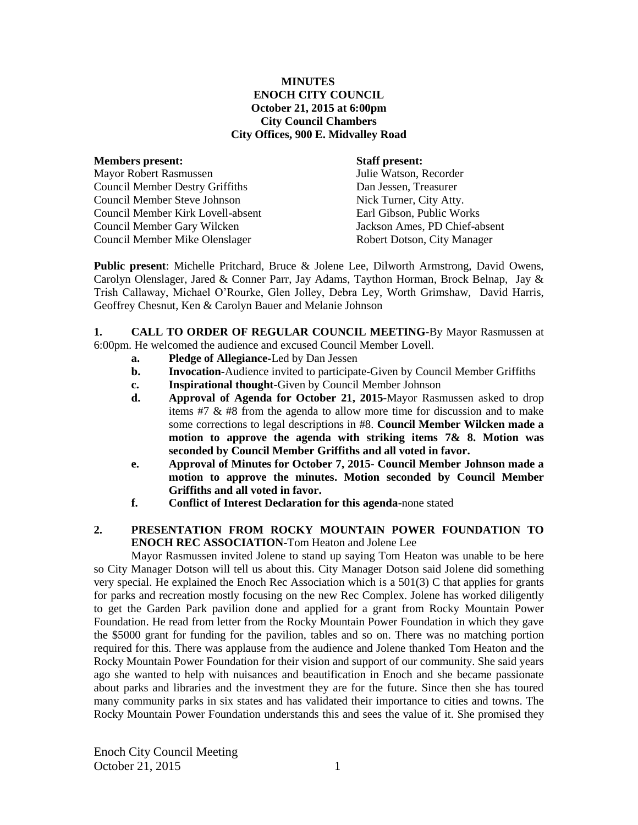### **MINUTES ENOCH CITY COUNCIL October 21, 2015 at 6:00pm City Council Chambers City Offices, 900 E. Midvalley Road**

| <b>Members present:</b>                | <b>Staff present:</b>         |
|----------------------------------------|-------------------------------|
| <b>Mayor Robert Rasmussen</b>          | Julie Watson, Recorder        |
| <b>Council Member Destry Griffiths</b> | Dan Jessen, Treasurer         |
| <b>Council Member Steve Johnson</b>    | Nick Turner, City Atty.       |
| Council Member Kirk Lovell-absent      | Earl Gibson, Public Works     |
| Council Member Gary Wilcken            | Jackson Ames, PD Chief-absent |
| Council Member Mike Olenslager         | Robert Dotson, City Manager   |

**Public present**: Michelle Pritchard, Bruce & Jolene Lee, Dilworth Armstrong, David Owens, Carolyn Olenslager, Jared & Conner Parr, Jay Adams, Taython Horman, Brock Belnap, Jay & Trish Callaway, Michael O'Rourke, Glen Jolley, Debra Ley, Worth Grimshaw, David Harris, Geoffrey Chesnut, Ken & Carolyn Bauer and Melanie Johnson

**1. CALL TO ORDER OF REGULAR COUNCIL MEETING-**By Mayor Rasmussen at 6:00pm. He welcomed the audience and excused Council Member Lovell.

- **a. Pledge of Allegiance-**Led by Dan Jessen
- **b. Invocation-**Audience invited to participate-Given by Council Member Griffiths
- **c. Inspirational thought-**Given by Council Member Johnson
- **d. Approval of Agenda for October 21, 2015-**Mayor Rasmussen asked to drop items #7 & #8 from the agenda to allow more time for discussion and to make some corrections to legal descriptions in #8. **Council Member Wilcken made a motion to approve the agenda with striking items 7& 8. Motion was seconded by Council Member Griffiths and all voted in favor.**
- **e. Approval of Minutes for October 7, 2015- Council Member Johnson made a motion to approve the minutes. Motion seconded by Council Member Griffiths and all voted in favor.**
- **f. Conflict of Interest Declaration for this agenda-**none stated

## **2. PRESENTATION FROM ROCKY MOUNTAIN POWER FOUNDATION TO ENOCH REC ASSOCIATION-**Tom Heaton and Jolene Lee

Mayor Rasmussen invited Jolene to stand up saying Tom Heaton was unable to be here so City Manager Dotson will tell us about this. City Manager Dotson said Jolene did something very special. He explained the Enoch Rec Association which is a 501(3) C that applies for grants for parks and recreation mostly focusing on the new Rec Complex. Jolene has worked diligently to get the Garden Park pavilion done and applied for a grant from Rocky Mountain Power Foundation. He read from letter from the Rocky Mountain Power Foundation in which they gave the \$5000 grant for funding for the pavilion, tables and so on. There was no matching portion required for this. There was applause from the audience and Jolene thanked Tom Heaton and the Rocky Mountain Power Foundation for their vision and support of our community. She said years ago she wanted to help with nuisances and beautification in Enoch and she became passionate about parks and libraries and the investment they are for the future. Since then she has toured many community parks in six states and has validated their importance to cities and towns. The Rocky Mountain Power Foundation understands this and sees the value of it. She promised they

Enoch City Council Meeting October 21, 2015 1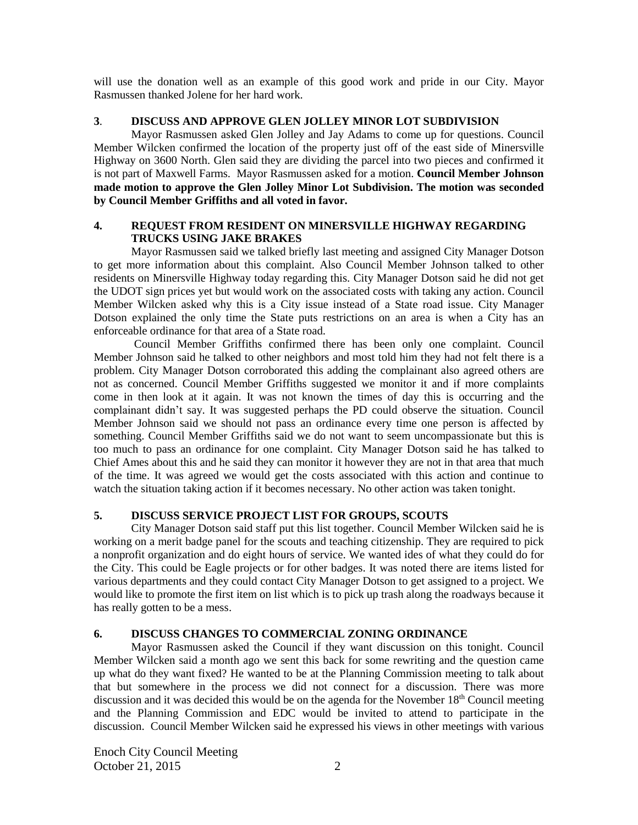will use the donation well as an example of this good work and pride in our City. Mayor Rasmussen thanked Jolene for her hard work.

### **3**. **DISCUSS AND APPROVE GLEN JOLLEY MINOR LOT SUBDIVISION**

Mayor Rasmussen asked Glen Jolley and Jay Adams to come up for questions. Council Member Wilcken confirmed the location of the property just off of the east side of Minersville Highway on 3600 North. Glen said they are dividing the parcel into two pieces and confirmed it is not part of Maxwell Farms. Mayor Rasmussen asked for a motion. **Council Member Johnson made motion to approve the Glen Jolley Minor Lot Subdivision. The motion was seconded by Council Member Griffiths and all voted in favor.** 

## **4. REQUEST FROM RESIDENT ON MINERSVILLE HIGHWAY REGARDING TRUCKS USING JAKE BRAKES**

Mayor Rasmussen said we talked briefly last meeting and assigned City Manager Dotson to get more information about this complaint. Also Council Member Johnson talked to other residents on Minersville Highway today regarding this. City Manager Dotson said he did not get the UDOT sign prices yet but would work on the associated costs with taking any action. Council Member Wilcken asked why this is a City issue instead of a State road issue. City Manager Dotson explained the only time the State puts restrictions on an area is when a City has an enforceable ordinance for that area of a State road.

Council Member Griffiths confirmed there has been only one complaint. Council Member Johnson said he talked to other neighbors and most told him they had not felt there is a problem. City Manager Dotson corroborated this adding the complainant also agreed others are not as concerned. Council Member Griffiths suggested we monitor it and if more complaints come in then look at it again. It was not known the times of day this is occurring and the complainant didn't say. It was suggested perhaps the PD could observe the situation. Council Member Johnson said we should not pass an ordinance every time one person is affected by something. Council Member Griffiths said we do not want to seem uncompassionate but this is too much to pass an ordinance for one complaint. City Manager Dotson said he has talked to Chief Ames about this and he said they can monitor it however they are not in that area that much of the time. It was agreed we would get the costs associated with this action and continue to watch the situation taking action if it becomes necessary. No other action was taken tonight.

# **5. DISCUSS SERVICE PROJECT LIST FOR GROUPS, SCOUTS**

City Manager Dotson said staff put this list together. Council Member Wilcken said he is working on a merit badge panel for the scouts and teaching citizenship. They are required to pick a nonprofit organization and do eight hours of service. We wanted ides of what they could do for the City. This could be Eagle projects or for other badges. It was noted there are items listed for various departments and they could contact City Manager Dotson to get assigned to a project. We would like to promote the first item on list which is to pick up trash along the roadways because it has really gotten to be a mess.

### **6. DISCUSS CHANGES TO COMMERCIAL ZONING ORDINANCE**

Mayor Rasmussen asked the Council if they want discussion on this tonight. Council Member Wilcken said a month ago we sent this back for some rewriting and the question came up what do they want fixed? He wanted to be at the Planning Commission meeting to talk about that but somewhere in the process we did not connect for a discussion. There was more discussion and it was decided this would be on the agenda for the November  $18<sup>th</sup>$  Council meeting and the Planning Commission and EDC would be invited to attend to participate in the discussion. Council Member Wilcken said he expressed his views in other meetings with various

Enoch City Council Meeting October 21, 2015 2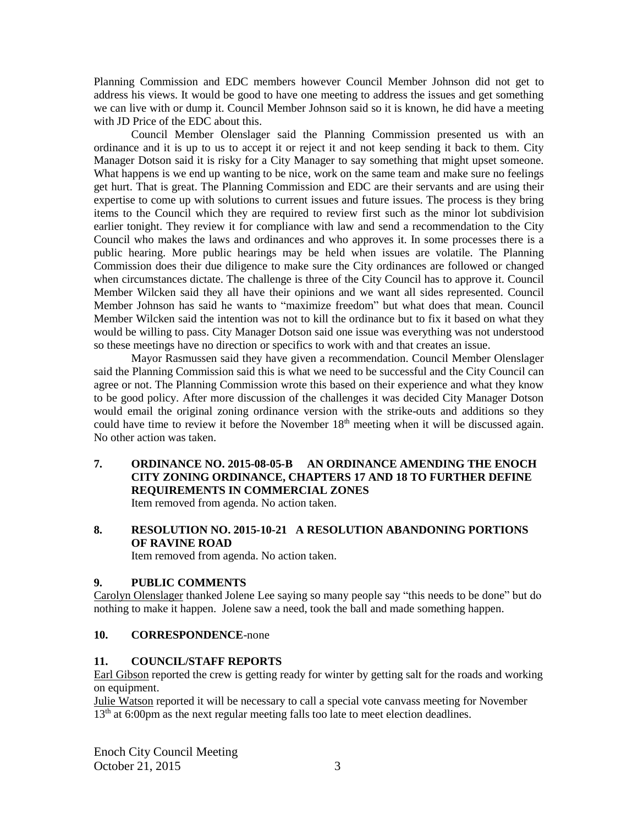Planning Commission and EDC members however Council Member Johnson did not get to address his views. It would be good to have one meeting to address the issues and get something we can live with or dump it. Council Member Johnson said so it is known, he did have a meeting with JD Price of the EDC about this.

Council Member Olenslager said the Planning Commission presented us with an ordinance and it is up to us to accept it or reject it and not keep sending it back to them. City Manager Dotson said it is risky for a City Manager to say something that might upset someone. What happens is we end up wanting to be nice, work on the same team and make sure no feelings get hurt. That is great. The Planning Commission and EDC are their servants and are using their expertise to come up with solutions to current issues and future issues. The process is they bring items to the Council which they are required to review first such as the minor lot subdivision earlier tonight. They review it for compliance with law and send a recommendation to the City Council who makes the laws and ordinances and who approves it. In some processes there is a public hearing. More public hearings may be held when issues are volatile. The Planning Commission does their due diligence to make sure the City ordinances are followed or changed when circumstances dictate. The challenge is three of the City Council has to approve it. Council Member Wilcken said they all have their opinions and we want all sides represented. Council Member Johnson has said he wants to "maximize freedom" but what does that mean. Council Member Wilcken said the intention was not to kill the ordinance but to fix it based on what they would be willing to pass. City Manager Dotson said one issue was everything was not understood so these meetings have no direction or specifics to work with and that creates an issue.

Mayor Rasmussen said they have given a recommendation. Council Member Olenslager said the Planning Commission said this is what we need to be successful and the City Council can agree or not. The Planning Commission wrote this based on their experience and what they know to be good policy. After more discussion of the challenges it was decided City Manager Dotson would email the original zoning ordinance version with the strike-outs and additions so they could have time to review it before the November  $18<sup>th</sup>$  meeting when it will be discussed again. No other action was taken.

**7. ORDINANCE NO. 2015-08-05-B AN ORDINANCE AMENDING THE ENOCH CITY ZONING ORDINANCE, CHAPTERS 17 AND 18 TO FURTHER DEFINE REQUIREMENTS IN COMMERCIAL ZONES** Item removed from agenda. No action taken.

# **8. RESOLUTION NO. 2015-10-21 A RESOLUTION ABANDONING PORTIONS OF RAVINE ROAD**

Item removed from agenda. No action taken.

# **9. PUBLIC COMMENTS**

Carolyn Olenslager thanked Jolene Lee saying so many people say "this needs to be done" but do nothing to make it happen. Jolene saw a need, took the ball and made something happen.

### **10. CORRESPONDENCE**-none

### **11. COUNCIL/STAFF REPORTS**

Earl Gibson reported the crew is getting ready for winter by getting salt for the roads and working on equipment.

Julie Watson reported it will be necessary to call a special vote canvass meeting for November 13<sup>th</sup> at 6:00pm as the next regular meeting falls too late to meet election deadlines.

Enoch City Council Meeting October 21, 2015 3